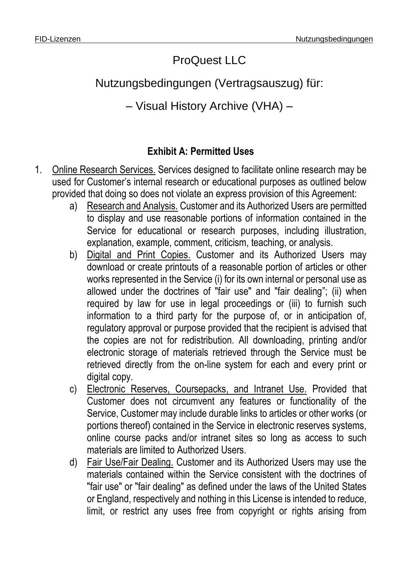## ProQuest LLC

## Nutzungsbedingungen (Vertragsauszug) für:

## – Visual History Archive (VHA) –

## **Exhibit A: Permitted Uses**

- 1. Online Research Services. Services designed to facilitate online research may be used for Customer's internal research or educational purposes as outlined below provided that doing so does not violate an express provision of this Agreement:
	- a) Research and Analysis. Customer and its Authorized Users are permitted to display and use reasonable portions of information contained in the Service for educational or research purposes, including illustration, explanation, example, comment, criticism, teaching, or analysis.
	- b) Digital and Print Copies. Customer and its Authorized Users may download or create printouts of a reasonable portion of articles or other works represented in the Service (i) for its own internal or personal use as allowed under the doctrines of "fair use" and "fair dealing"; (ii) when required by law for use in legal proceedings or (iii) to furnish such information to a third party for the purpose of, or in anticipation of, regulatory approval or purpose provided that the recipient is advised that the copies are not for redistribution. All downloading, printing and/or electronic storage of materials retrieved through the Service must be retrieved directly from the on-line system for each and every print or digital copy.
	- c) Electronic Reserves, Coursepacks, and Intranet Use. Provided that Customer does not circumvent any features or functionality of the Service, Customer may include durable links to articles or other works (or portions thereof) contained in the Service in electronic reserves systems, online course packs and/or intranet sites so long as access to such materials are limited to Authorized Users.
	- d) Fair Use/Fair Dealing. Customer and its Authorized Users may use the materials contained within the Service consistent with the doctrines of "fair use" or "fair dealing" as defined under the laws of the United States or England, respectively and nothing in this License is intended to reduce, limit, or restrict any uses free from copyright or rights arising from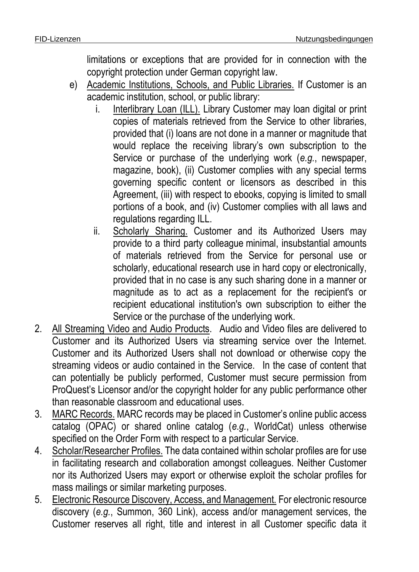limitations or exceptions that are provided for in connection with the copyright protection under German copyright law.

- e) Academic Institutions, Schools, and Public Libraries. If Customer is an academic institution, school, or public library:
	- i. Interlibrary Loan (ILL). Library Customer may loan digital or print copies of materials retrieved from the Service to other libraries, provided that (i) loans are not done in a manner or magnitude that would replace the receiving library's own subscription to the Service or purchase of the underlying work (*e.g.*, newspaper, magazine, book), (ii) Customer complies with any special terms governing specific content or licensors as described in this Agreement, (iii) with respect to ebooks, copying is limited to small portions of a book, and (iv) Customer complies with all laws and regulations regarding ILL.
	- ii. Scholarly Sharing. Customer and its Authorized Users may provide to a third party colleague minimal, insubstantial amounts of materials retrieved from the Service for personal use or scholarly, educational research use in hard copy or electronically, provided that in no case is any such sharing done in a manner or magnitude as to act as a replacement for the recipient's or recipient educational institution's own subscription to either the Service or the purchase of the underlying work.
- 2. All Streaming Video and Audio Products. Audio and Video files are delivered to Customer and its Authorized Users via streaming service over the Internet. Customer and its Authorized Users shall not download or otherwise copy the streaming videos or audio contained in the Service. In the case of content that can potentially be publicly performed, Customer must secure permission from ProQuest's Licensor and/or the copyright holder for any public performance other than reasonable classroom and educational uses.
- 3. MARC Records. MARC records may be placed in Customer's online public access catalog (OPAC) or shared online catalog (*e.g.*, WorldCat) unless otherwise specified on the Order Form with respect to a particular Service.
- 4. Scholar/Researcher Profiles. The data contained within scholar profiles are for use in facilitating research and collaboration amongst colleagues. Neither Customer nor its Authorized Users may export or otherwise exploit the scholar profiles for mass mailings or similar marketing purposes.
- 5. Electronic Resource Discovery, Access, and Management. For electronic resource discovery (*e.g.*, Summon, 360 Link), access and/or management services, the Customer reserves all right, title and interest in all Customer specific data it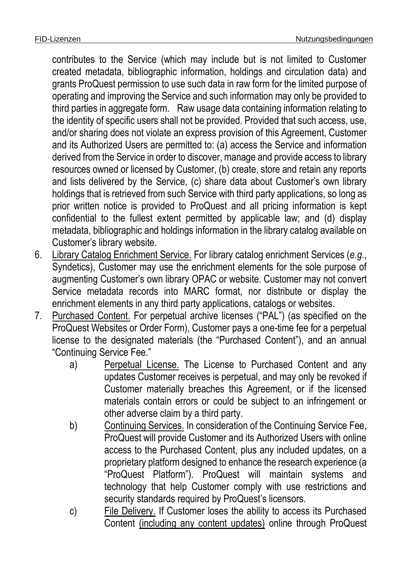contributes to the Service (which may include but is not limited to Customer created metadata, bibliographic information, holdings and circulation data) and grants ProQuest permission to use such data in raw form for the limited purpose of operating and improving the Service and such information may only be provided to third parties in aggregate form. Raw usage data containing information relating to the identity of specific users shall not be provided. Provided that such access, use, and/or sharing does not violate an express provision of this Agreement, Customer and its Authorized Users are permitted to: (a) access the Service and information derived from the Service in order to discover, manage and provide access to library resources owned or licensed by Customer, (b) create, store and retain any reports and lists delivered by the Service, (c) share data about Customer's own library holdings that is retrieved from such Service with third party applications, so long as prior written notice is provided to ProQuest and all pricing information is kept confidential to the fullest extent permitted by applicable law; and (d) display metadata, bibliographic and holdings information in the library catalog available on Customer's library website.

- 6. Library Catalog Enrichment Service. For library catalog enrichment Services (*e.g.*, Syndetics), Customer may use the enrichment elements for the sole purpose of augmenting Customer's own library OPAC or website. Customer may not convert Service metadata records into MARC format, nor distribute or display the enrichment elements in any third party applications, catalogs or websites.
- 7. Purchased Content. For perpetual archive licenses ("PAL") (as specified on the ProQuest Websites or Order Form), Customer pays a one-time fee for a perpetual license to the designated materials (the "Purchased Content"), and an annual "Continuing Service Fee."
	- a) Perpetual License. The License to Purchased Content and any updates Customer receives is perpetual, and may only be revoked if Customer materially breaches this Agreement, or if the licensed materials contain errors or could be subject to an infringement or other adverse claim by a third party.
	- b) Continuing Services. In consideration of the Continuing Service Fee, ProQuest will provide Customer and its Authorized Users with online access to the Purchased Content, plus any included updates, on a proprietary platform designed to enhance the research experience (a "ProQuest Platform"). ProQuest will maintain systems and technology that help Customer comply with use restrictions and security standards required by ProQuest's licensors.
	- c) File Delivery. If Customer loses the ability to access its Purchased Content (including any content updates) online through ProQuest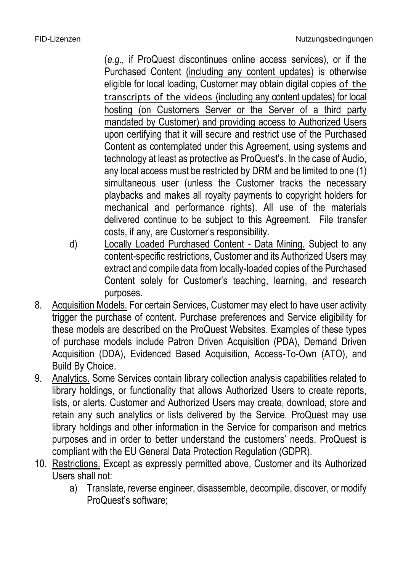(*e.g.,* if ProQuest discontinues online access services), or if the Purchased Content (including any content updates) is otherwise eligible for local loading, Customer may obtain digital copies of the transcripts of the videos (including any content updates) for local hosting (on Customers Server or the Server of a third party mandated by Customer) and providing access to Authorized Users upon certifying that it will secure and restrict use of the Purchased Content as contemplated under this Agreement, using systems and technology at least as protective as ProQuest's. In the case of Audio, any local access must be restricted by DRM and be limited to one (1) simultaneous user (unless the Customer tracks the necessary playbacks and makes all royalty payments to copyright holders for mechanical and performance rights). All use of the materials delivered continue to be subject to this Agreement. File transfer costs, if any, are Customer's responsibility.

- d) Locally Loaded Purchased Content Data Mining. Subject to any content-specific restrictions, Customer and its Authorized Users may extract and compile data from locally-loaded copies of the Purchased Content solely for Customer's teaching, learning, and research purposes.
- 8. Acquisition Models. For certain Services, Customer may elect to have user activity trigger the purchase of content. Purchase preferences and Service eligibility for these models are described on the ProQuest Websites. Examples of these types of purchase models include Patron Driven Acquisition (PDA), Demand Driven Acquisition (DDA), Evidenced Based Acquisition, Access-To-Own (ATO), and Build By Choice.
- 9. Analytics. Some Services contain library collection analysis capabilities related to library holdings, or functionality that allows Authorized Users to create reports, lists, or alerts. Customer and Authorized Users may create, download, store and retain any such analytics or lists delivered by the Service. ProQuest may use library holdings and other information in the Service for comparison and metrics purposes and in order to better understand the customers' needs. ProQuest is compliant with the EU General Data Protection Regulation (GDPR).
- 10. Restrictions. Except as expressly permitted above, Customer and its Authorized Users shall not:
	- a) Translate, reverse engineer, disassemble, decompile, discover, or modify ProQuest's software;